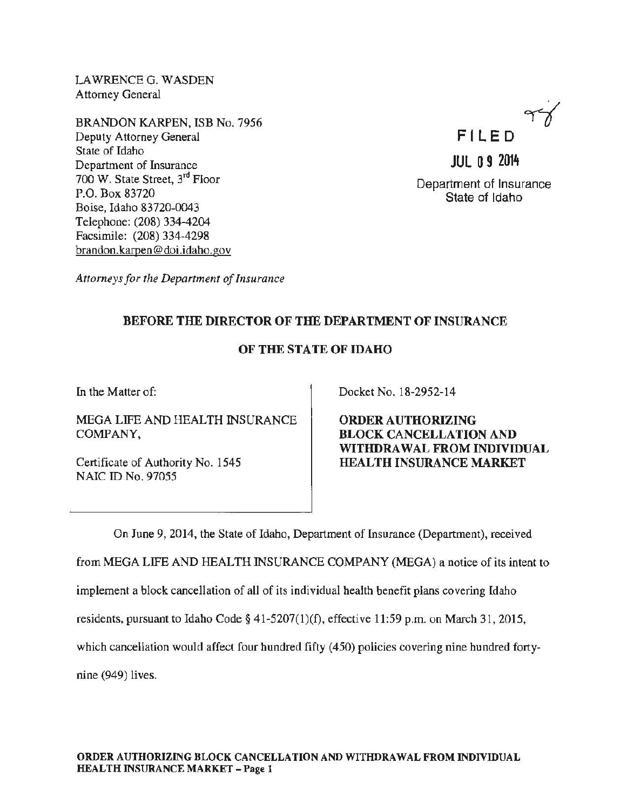LAWRENCE G. WASDEN Attorney General

BRANDON KARPEN, ISB No. 7956 Deputy Attorney General State of Idaho Department of Insurance 700 W. State Street,  $3<sup>rd</sup>$  Floor P.O. Box 83720 Boise, Idaho 83720-0043 Telephone: (208) 334-4204 Facsimile: (208) 334-4298 brandon.karpen@doi.idaho.gov



Department of Insurance State of Idaho

*Attorneys for the Department of Insurance* 

## BEFORE THE DIRECTOR OF THE DEPARTMENT OF INSURANCE

## OF THE STATE OF IDAHO

In the Matter of:

MEGA LIFE AND HEALTH INSURANCE COMPANY,

Certificate of Authority No. 1545 NAIC ID No. 97055

Docket No. 18-2952-14

ORDER AUTHORIZING BLOCK CANCELLATION AND WITHDRAWAL FROM INDIVIDUAL HEALTH INSURANCE MARKET

On June 9, 2014, the State of Idaho, Department of Insurance (Department), received

from MEGA LIFE AND HEALTH INSURANCE COMPANY (MEGA) a notice of its intent to

implement a block cancellation of all of its individual health benefit plans covering Idaho

residents, pursuant to Idaho Code § 41-5207(1)(f), effective 11:59 p.m. on March 31, 2015,

which cancellation would affect four hundred fifty (450) policies covering nine hundred forty-

nine (949) lives.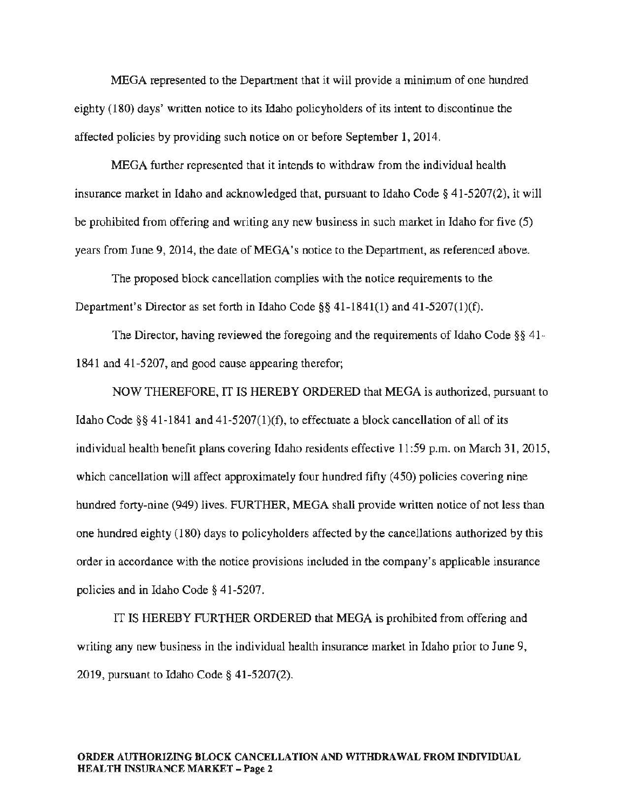MEGA represented to the Department that it will provide a minimum of one hundred eighty (180) days' written notice to its Idaho policyholders of its intent to discontinue the affected policies by providing such notice on or before September 1, 2014.

MEGA further represented that it intends to withdraw from the individual health insurance market in Idaho and acknowledged that, pursuant to Idaho Code § 41-5207(2), it will be prohibited from offering and writing any new business in such market in Idaho for five (5) years from June 9, 2014, the date of MEGA's notice to the Department, as referenced above.

The proposed block cancellation complies with the notice requirements to the Department's Director as set forth in Idaho Code§§ 41-1841(1) and 41-5207(1)(f).

The Director, having reviewed the foregoing and the requirements of Idaho Code §§ 41- 1841 and 41-5207, and good cause appearing therefor;

NOW THEREFORE, IT IS HEREBY ORDERED that MEGA is authorized, pursuant to Idaho Code §§ 41-1841 and 41-5207(1)(f), to effectuate a block cancellation of all of its individual health benefit plans covering Idaho residents effective 11:59 p.m. on March 31, 2015, which cancellation will affect approximately four hundred fifty (450) policies covering nine hundred forty-nine (949) lives. FURTHER, MEGA shall provide written notice of not less than one hundred eighty (180) days to policyholders affected by the cancellations authorized by this order in accordance with the notice provisions included in the company's applicable insurance policies and in Idaho Code§ 41-5207.

IT IS HEREBY FURTHER ORDERED that MEGA is prohibited from offering and writing any new business in the individual health insurance market in Idaho prior to June 9, 2019, pursuant to Idaho Code§ 41-5207(2).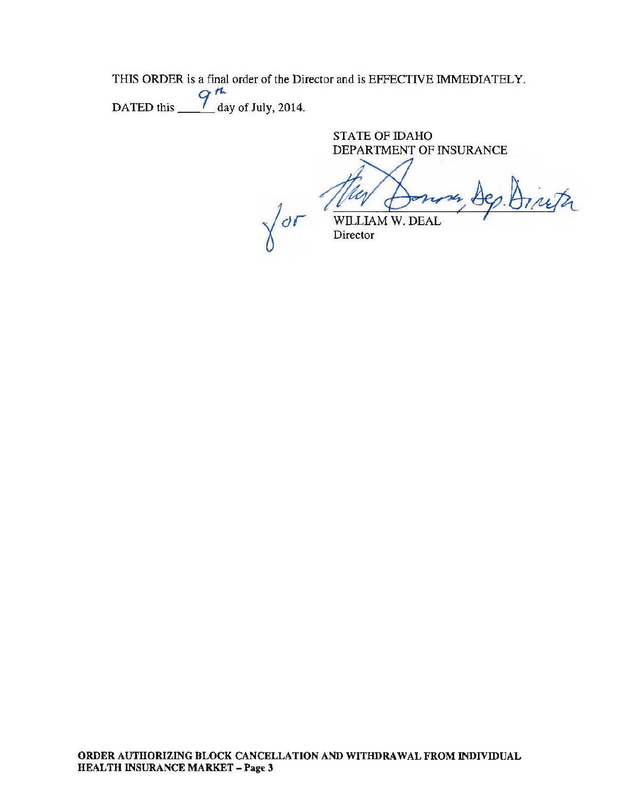THIS ORDER is a final order of the Director and is EFFECTIVE IMMEDIATELY.

DATED this  $\frac{q^{th}}{q^{th}}$  day of July, 2014.

STATE OF IDAHO DEPARTMENT OF INSURANCE

Th  $\int_{\partial \mathcal{L}}$  will law w. DEAL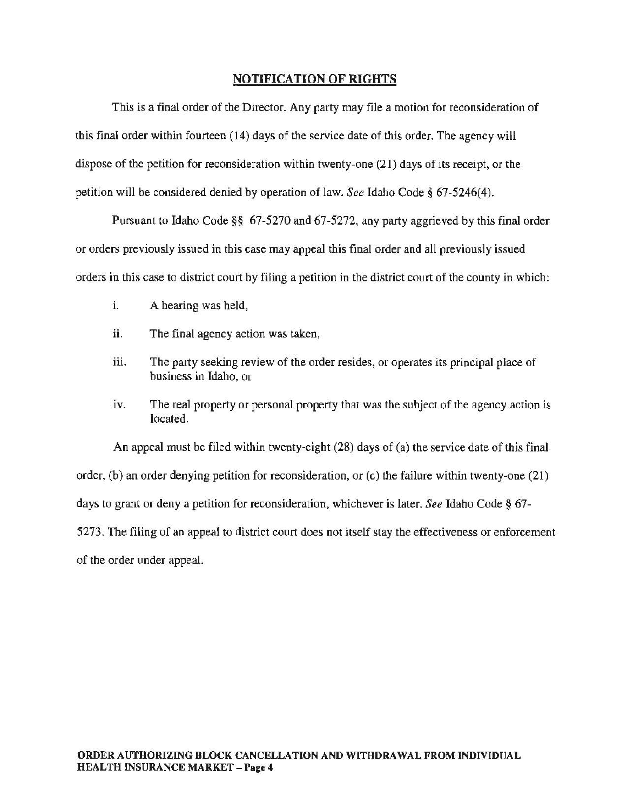## NOTIFICATION OF RIGHTS

This is a final order of the Director. Any party may file a motion for reconsideration of this final order within fourteen (14) days of the service date of this order. The agency will dispose of the petition for reconsideration within twenty-one (21) days of its receipt, or the petition will be considered denied by operation of law. *See* Idaho Code§ 67-5246(4).

Pursuant to Idaho Code§§ 67-5270 and 67-5272, any party aggrieved by this final order or orders previously issued in this case may appeal this final order and all previously issued orders in this case to district court by filing a petition in the district court of the county in which:

- i. A hearing was held,
- ii. The final agency action was taken,
- iii. The party seeking review of the order resides, or operates its principal place of business in Idaho, or
- iv. The real property or personal property that was the subject of the agency action is located.

An appeal must be filed within twenty-eight (28) days of (a) the service date of this final order, (b) an order denying petition for reconsideration, or (c) the failure within twenty-one (21) days to grant or deny a petition for reconsideration, whichever is later. *See* Idaho Code§ 67- 5273. The filing of an appeal to district court does not itself stay the effectiveness or enforcement of the order under appeal.